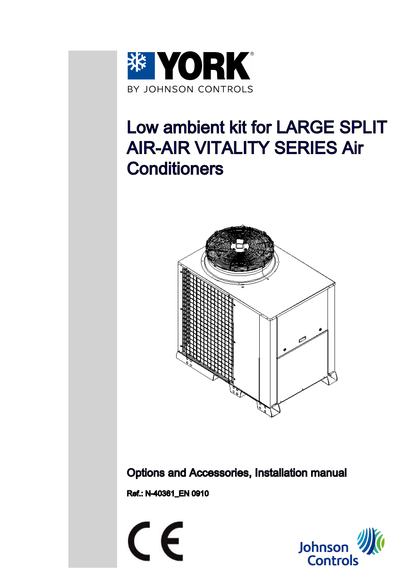

# Low ambient kit for LARGE SPLIT AIR-AIR VITALITY SERIES Air **Conditioners**



Options and Accessories, Installation manual

Ref.: N-40361\_EN 0910

 $\epsilon$ 

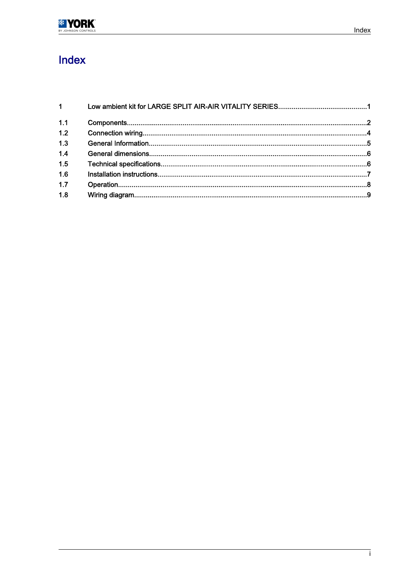

# Index

| $1 \quad \blacksquare$ |  |
|------------------------|--|
| 1.1                    |  |
| 1.2                    |  |
| 1.3                    |  |
| 1.4                    |  |
| 1.5                    |  |
| 1.6                    |  |
| 1.7                    |  |
| 1.8                    |  |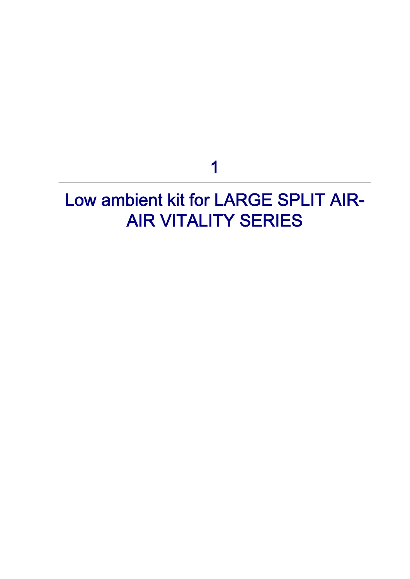# 1

# <span id="page-2-0"></span>Low ambient kit for LARGE SPLIT AIR-AIR VITALITY SERIES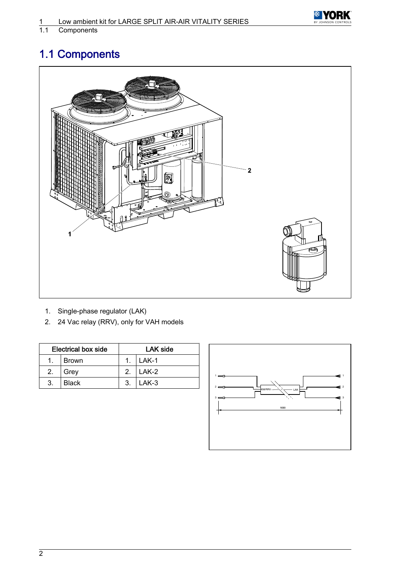

<span id="page-3-0"></span>Components

# 1.1 Components



- 1. Single-phase regulator (LAK)
- 2. 24 Vac relay (RRV), only for VAH models

| <b>Electrical box side</b> |              | LAK side       |         |
|----------------------------|--------------|----------------|---------|
| $1_{\cdot}$                | <b>Brown</b> |                | $LAK-1$ |
| 2.                         | Grey         | 2 <sub>1</sub> | LAK-2   |
| -3.                        | <b>Black</b> | 3.             | LAK-3   |

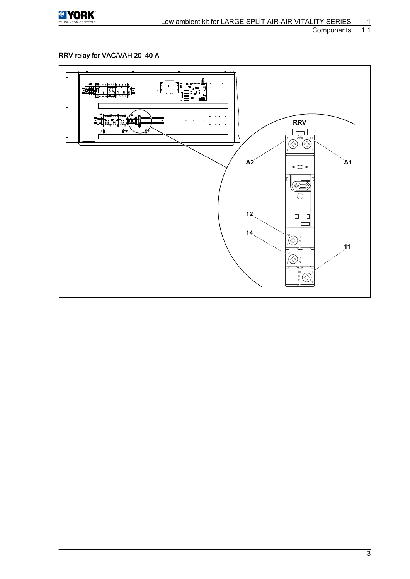

#### Components

#### RRV relay for VAC/VAH 20–40 A

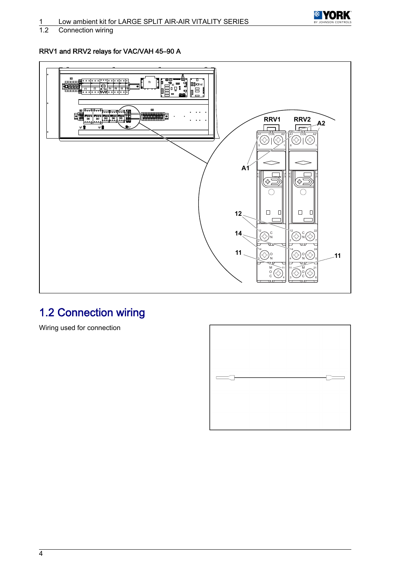

<span id="page-5-0"></span>Connection wiring

#### RRV1 and RRV2 relays for VAC/VAH 45–90 A



### 1.2 Connection wiring

Wiring used for connection

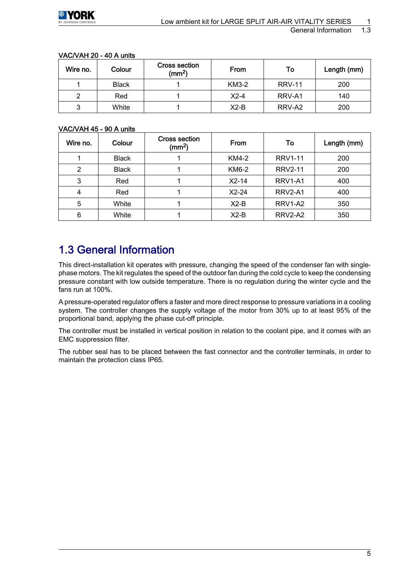| Wire no. | Colour       | <b>Cross section</b><br>$\text{(mm}^2)$ | From         | To            | Length (mm) |
|----------|--------------|-----------------------------------------|--------------|---------------|-------------|
|          | <b>Black</b> |                                         | <b>KM3-2</b> | <b>RRV-11</b> | 200         |
|          | Red          |                                         | $X2-4$       | RRV-A1        | 140         |
|          | White        |                                         | $X2-B$       | RRV-A2        | 200         |

#### <span id="page-6-0"></span>VAC/VAH 20 ‑ 40 A units

#### VAC/VAH 45 ‑ 90 A units

| Wire no. | Colour       | <b>Cross section</b><br>(mm <sup>2</sup> ) | <b>From</b> | To                               | Length (mm) |
|----------|--------------|--------------------------------------------|-------------|----------------------------------|-------------|
|          | <b>Black</b> |                                            | KM4-2       | <b>RRV1-11</b>                   | 200         |
| 2        | <b>Black</b> |                                            | KM6-2       | <b>RRV2-11</b>                   | 200         |
| 3        | Red          |                                            | $X2-14$     | RRV <sub>1</sub> -A <sub>1</sub> | 400         |
| 4        | Red          |                                            | $X2-24$     | RRV2-A1                          | 400         |
| 5        | White        |                                            | $X2-B$      | RRV1-A2                          | 350         |
| 6        | White        |                                            | $X2-B$      | RRV2-A2                          | 350         |

### 1.3 General Information

This direct-installation kit operates with pressure, changing the speed of the condenser fan with singlephase motors. The kit regulates the speed of the outdoor fan during the cold cycle to keep the condensing pressure constant with low outside temperature. There is no regulation during the winter cycle and the fans run at 100%.

A pressure-operated regulator offers a faster and more direct response to pressure variations in a cooling system. The controller changes the supply voltage of the motor from 30% up to at least 95% of the proportional band, applying the phase cut-off principle.

The controller must be installed in vertical position in relation to the coolant pipe, and it comes with an EMC suppression filter.

The rubber seal has to be placed between the fast connector and the controller terminals, in order to maintain the protection class IP65.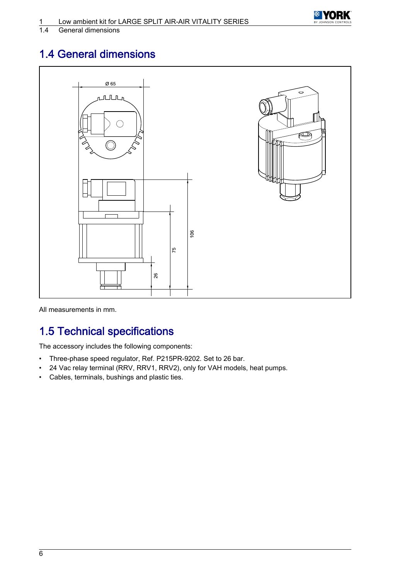

#### <span id="page-7-0"></span>General dimensions

## 1.4 General dimensions



All measurements in mm.

### 1.5 Technical specifications

The accessory includes the following components:

- Three-phase speed regulator, Ref. P215PR-9202. Set to 26 bar.
- 24 Vac relay terminal (RRV, RRV1, RRV2), only for VAH models, heat pumps.
- Cables, terminals, bushings and plastic ties.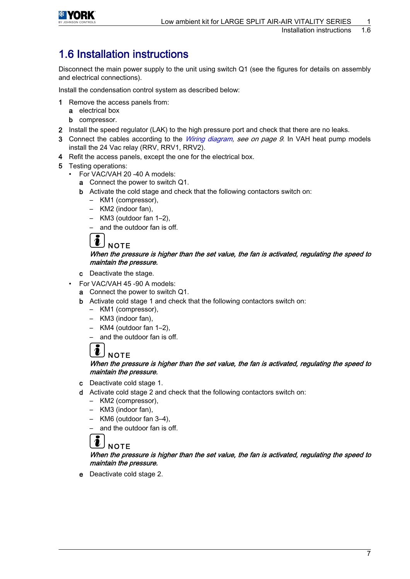<span id="page-8-0"></span>

### 1.6 Installation instructions

Disconnect the main power supply to the unit using switch Q1 (see the figures for details on assembly and electrical connections).

Install the condensation control system as described below:

- 1 Remove the access panels from:
	- a electrical box
	- **b** compressor.
- 2 Install the speed regulator (LAK) to the high pressure port and check that there are no leaks.
- 3 Connect the cables according to the *[Wiring diagram](#page-10-0), see on page 9*. In VAH heat pump models install the 24 Vac relay (RRV, RRV1, RRV2).
- 4 Refit the access panels, except the one for the electrical box.
- 5 Testing operations:
	- For VAC/VAH 20 -40 A models:
		- a Connect the power to switch Q1.
		- b Activate the cold stage and check that the following contactors switch on:
			- KM1 (compressor),
			- KM2 (indoor fan),
			- KM3 (outdoor fan 1–2),
			- and the outdoor fan is off.



#### When the pressure is higher than the set value, the fan is activated, regulating the speed to maintain the pressure.

- c Deactivate the stage.
- For VAC/VAH 45 ‑90 A models:
	- a Connect the power to switch Q1.
	- b Activate cold stage 1 and check that the following contactors switch on:
		- KM1 (compressor),
		- KM3 (indoor fan),
		- KM4 (outdoor fan 1–2),

– and the outdoor fan is off.

#### $\overline{\mathbf{i}}$ **NOTE**

#### When the pressure is higher than the set value, the fan is activated, regulating the speed to maintain the pressure.

- c Deactivate cold stage 1.
- d Activate cold stage 2 and check that the following contactors switch on:
	- KM2 (compressor),
	- KM3 (indoor fan),
	- KM6 (outdoor fan 3–4),
	- and the outdoor fan is off.

## **NOTE**

#### When the pressure is higher than the set value, the fan is activated, regulating the speed to maintain the pressure.

e Deactivate cold stage 2.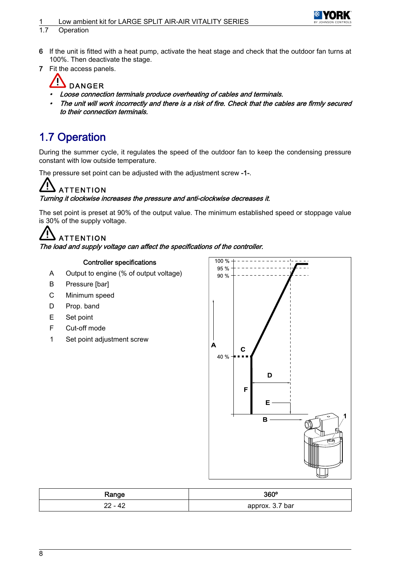#### <span id="page-9-0"></span>Low ambient kit for LARGE SPLIT AIR-AIR VITALITY SERIES



#### 1.7 Operation

- 6 If the unit is fitted with a heat pump, activate the heat stage and check that the outdoor fan turns at 100%. Then deactivate the stage.
- 7 Fit the access panels.

### **DANGER**

- •Loose connection terminals produce overheating of cables and terminals.
- • The unit will work incorrectly and there is a risk of fire. Check that the cables are firmly secured to their connection terminals.

### 1.7 Operation

During the summer cycle, it regulates the speed of the outdoor fan to keep the condensing pressure constant with low outside temperature.

The pressure set point can be adjusted with the adjustment screw -1-.

# **ATTENTION**

#### Turning it clockwise increases the pressure and anti-clockwise decreases it.

The set point is preset at 90% of the output value. The minimum established speed or stoppage value is 30% of the supply voltage.

# **ATTENTION**

The load and supply voltage can affect the specifications of the controller.

#### Controller specifications

- A Output to engine (% of output voltage)
- B Pressure [bar]
- C Minimum speed
- D Prop. band
- E Set point
- F Cut-off mode
- 1 Set point adjustment screw



| Range     | 360°            |
|-----------|-----------------|
| $22 - 42$ | approx. 3.7 bar |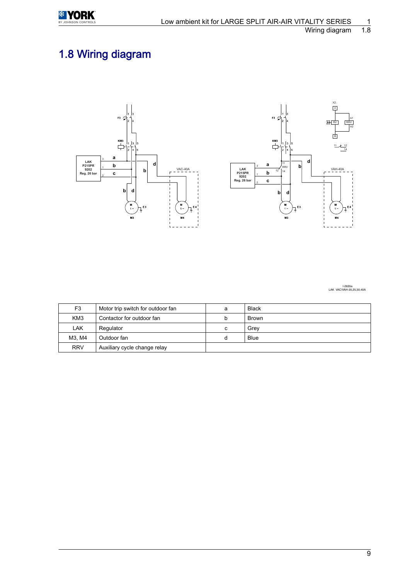<span id="page-10-0"></span>

# 1.8 Wiring diagram





I-2635a<br>LAK VAC/VAH-20,25,30,40A

| F <sub>3</sub>                               | Motor trip switch for outdoor fan | a | <b>Black</b> |
|----------------------------------------------|-----------------------------------|---|--------------|
| KM <sub>3</sub><br>Contactor for outdoor fan |                                   | b | <b>Brown</b> |
| LAK                                          | Regulator                         | с | Grev         |
| M3. M4                                       | Outdoor fan                       | d | <b>Blue</b>  |
| <b>RRV</b>                                   | Auxiliary cycle change relay      |   |              |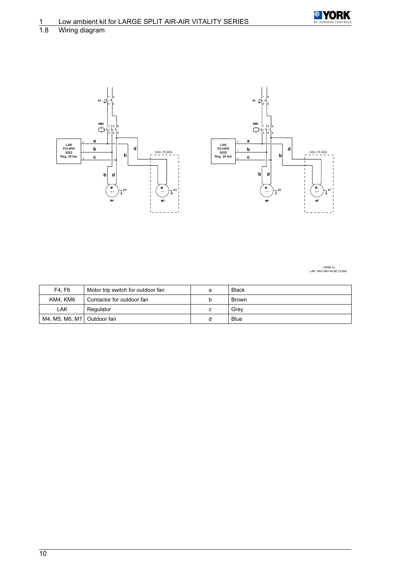

#### Wiring diagram



I-2636-1a LAK VAC/VAH-45,60,75,90A

| F4. F6                       | Motor trip switch for outdoor fan | а | <b>Black</b> |
|------------------------------|-----------------------------------|---|--------------|
| KM4. KM6                     | Contactor for outdoor fan         |   | <b>Brown</b> |
| LAK                          | Regulator                         |   | Grev         |
| M4, M5, M6, M7   Outdoor fan |                                   |   | Blue         |